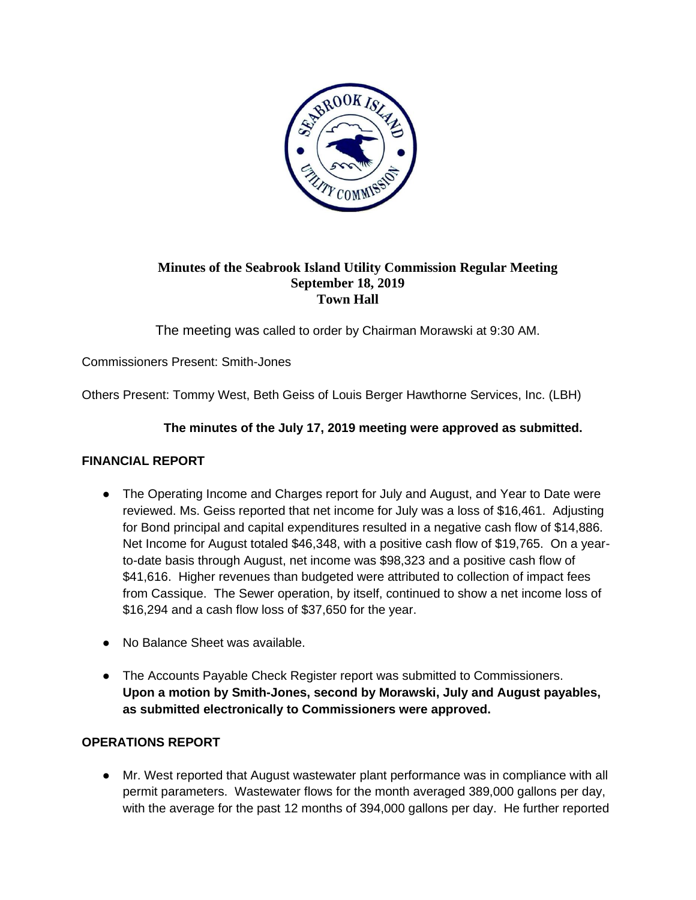

# **Minutes of the Seabrook Island Utility Commission Regular Meeting September 18, 2019 Town Hall**

The meeting was called to order by Chairman Morawski at 9:30 AM.

Commissioners Present: Smith-Jones

Others Present: Tommy West, Beth Geiss of Louis Berger Hawthorne Services, Inc. (LBH)

# **The minutes of the July 17, 2019 meeting were approved as submitted.**

# **FINANCIAL REPORT**

- The Operating Income and Charges report for July and August, and Year to Date were reviewed. Ms. Geiss reported that net income for July was a loss of \$16,461. Adjusting for Bond principal and capital expenditures resulted in a negative cash flow of \$14,886. Net Income for August totaled \$46,348, with a positive cash flow of \$19,765. On a yearto-date basis through August, net income was \$98,323 and a positive cash flow of \$41,616. Higher revenues than budgeted were attributed to collection of impact fees from Cassique. The Sewer operation, by itself, continued to show a net income loss of \$16,294 and a cash flow loss of \$37,650 for the year.
- No Balance Sheet was available.
- The Accounts Payable Check Register report was submitted to Commissioners. **Upon a motion by Smith-Jones, second by Morawski, July and August payables, as submitted electronically to Commissioners were approved.**

# **OPERATIONS REPORT**

● Mr. West reported that August wastewater plant performance was in compliance with all permit parameters. Wastewater flows for the month averaged 389,000 gallons per day, with the average for the past 12 months of 394,000 gallons per day. He further reported